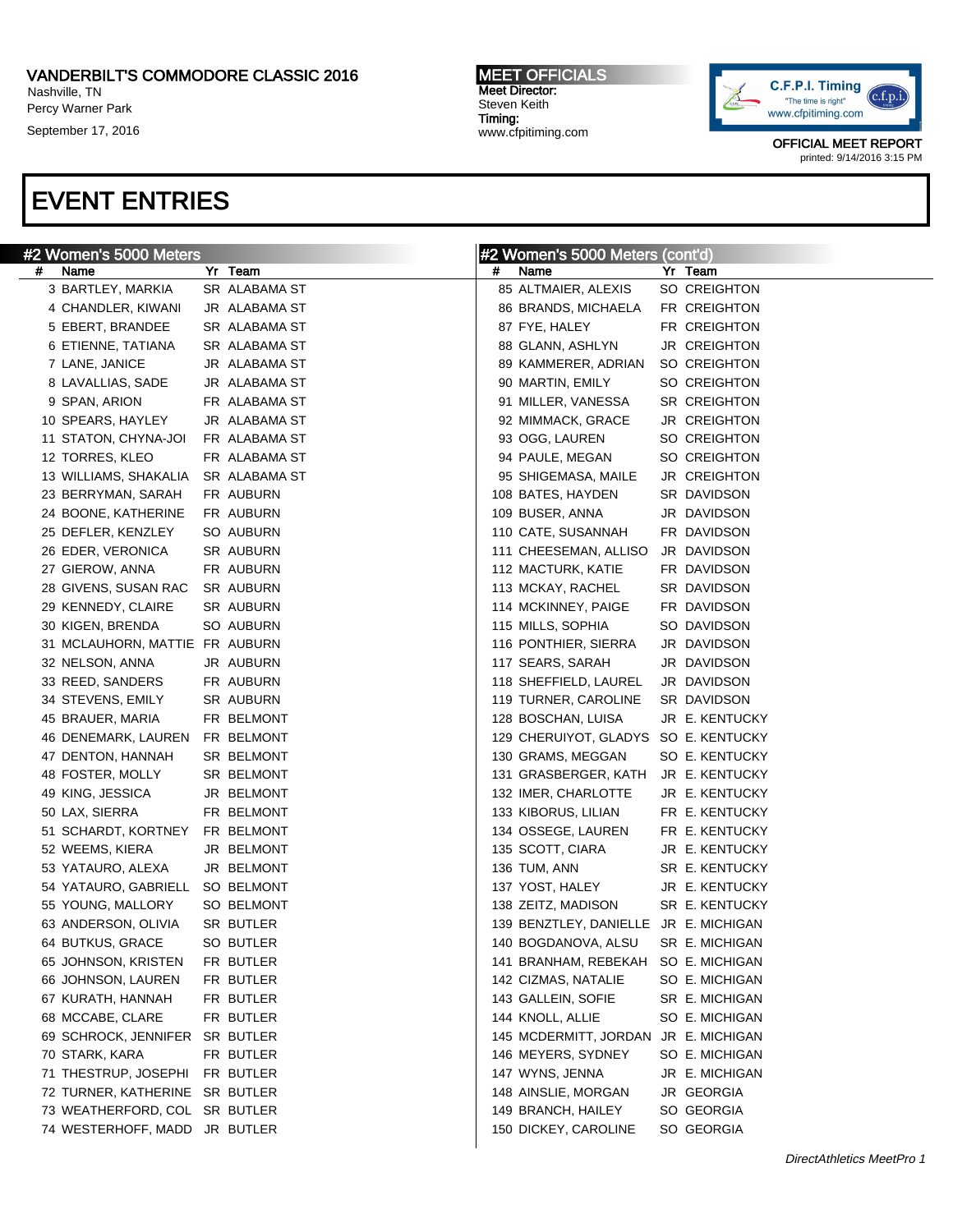## VANDERBILT'S COMMODORE CLASSIC 2016

Nashville, TN Percy Warner Park

September 17, 2016

### MEET OFFICIALS Meet Director: Steven Keith Timing: www.cfpitiming.com



OFFICIAL MEET REPORT printed: 9/14/2016 3:15 PM

| #2 Women's 5000 Meters              |  |               | #2 Women's 5000 Meters (cont'd) |                                       |  |                     |
|-------------------------------------|--|---------------|---------------------------------|---------------------------------------|--|---------------------|
| Name<br>#                           |  | Yr Team       | #                               | Name                                  |  | Yr Team             |
| 3 BARTLEY, MARKIA                   |  | SR ALABAMA ST |                                 | 85 ALTMAIER, ALEXIS                   |  | SO CREIGHTON        |
| 4 CHANDLER, KIWANI                  |  | JR ALABAMA ST |                                 | 86 BRANDS, MICHAELA                   |  | FR CREIGHTON        |
| 5 EBERT, BRANDEE                    |  | SR ALABAMA ST |                                 | 87 FYE, HALEY                         |  | FR CREIGHTON        |
| 6 ETIENNE, TATIANA                  |  | SR ALABAMA ST |                                 | 88 GLANN, ASHLYN                      |  | JR CREIGHTON        |
| 7 LANE, JANICE                      |  | JR ALABAMA ST |                                 | 89 KAMMERER, ADRIAN                   |  | SO CREIGHTON        |
| 8 LAVALLIAS, SADE                   |  | JR ALABAMA ST |                                 | 90 MARTIN, EMILY                      |  | SO CREIGHTON        |
| 9 SPAN, ARION                       |  | FR ALABAMA ST |                                 | 91 MILLER, VANESSA                    |  | SR CREIGHTON        |
| 10 SPEARS, HAYLEY                   |  | JR ALABAMA ST |                                 | 92 MIMMACK, GRACE                     |  | <b>JR CREIGHTON</b> |
| 11 STATON, CHYNA-JOI                |  | FR ALABAMA ST |                                 | 93 OGG, LAUREN                        |  | SO CREIGHTON        |
| 12 TORRES, KLEO                     |  | FR ALABAMA ST |                                 | 94 PAULE, MEGAN                       |  | SO CREIGHTON        |
| 13 WILLIAMS, SHAKALIA SR ALABAMA ST |  |               |                                 | 95 SHIGEMASA, MAILE                   |  | JR CREIGHTON        |
| 23 BERRYMAN, SARAH                  |  | FR AUBURN     |                                 | 108 BATES, HAYDEN                     |  | SR DAVIDSON         |
| 24 BOONE, KATHERINE                 |  | FR AUBURN     |                                 | 109 BUSER, ANNA                       |  | JR DAVIDSON         |
| 25 DEFLER, KENZLEY                  |  | SO AUBURN     |                                 | 110 CATE, SUSANNAH                    |  | FR DAVIDSON         |
| 26 EDER, VERONICA                   |  | SR AUBURN     |                                 | 111 CHEESEMAN, ALLISO                 |  | JR DAVIDSON         |
| 27 GIEROW, ANNA                     |  | FR AUBURN     |                                 | 112 MACTURK, KATIE                    |  | FR DAVIDSON         |
| 28 GIVENS, SUSAN RAC                |  | SR AUBURN     |                                 | 113 MCKAY, RACHEL                     |  | SR DAVIDSON         |
| 29 KENNEDY, CLAIRE                  |  | SR AUBURN     |                                 | 114 MCKINNEY, PAIGE                   |  | FR DAVIDSON         |
| 30 KIGEN, BRENDA                    |  | SO AUBURN     |                                 | 115 MILLS, SOPHIA                     |  | SO DAVIDSON         |
| 31 MCLAUHORN, MATTIE FR AUBURN      |  |               |                                 | 116 PONTHIER, SIERRA                  |  | JR DAVIDSON         |
| 32 NELSON, ANNA                     |  | JR AUBURN     |                                 | 117 SEARS, SARAH                      |  | JR DAVIDSON         |
| 33 REED, SANDERS                    |  | FR AUBURN     |                                 | 118 SHEFFIELD, LAUREL                 |  | JR DAVIDSON         |
| 34 STEVENS, EMILY                   |  | SR AUBURN     |                                 | 119 TURNER, CAROLINE                  |  | SR DAVIDSON         |
| 45 BRAUER, MARIA                    |  | FR BELMONT    |                                 | 128 BOSCHAN, LUISA                    |  | JR E. KENTUCKY      |
| 46 DENEMARK, LAUREN FR BELMONT      |  |               |                                 | 129 CHERUIYOT, GLADYS SO E. KENTUCKY  |  |                     |
| 47 DENTON, HANNAH                   |  | SR BELMONT    |                                 | 130 GRAMS, MEGGAN                     |  | SO E. KENTUCKY      |
| 48 FOSTER, MOLLY                    |  | SR BELMONT    |                                 | 131 GRASBERGER, KATH                  |  | JR E. KENTUCKY      |
| 49 KING, JESSICA                    |  | JR BELMONT    |                                 | 132 IMER, CHARLOTTE                   |  | JR E. KENTUCKY      |
| 50 LAX, SIERRA                      |  | FR BELMONT    |                                 | 133 KIBORUS, LILIAN                   |  | FR E. KENTUCKY      |
| 51 SCHARDT, KORTNEY                 |  | FR BELMONT    |                                 | 134 OSSEGE, LAUREN                    |  | FR E. KENTUCKY      |
| 52 WEEMS, KIERA                     |  | JR BELMONT    |                                 | 135 SCOTT, CIARA                      |  | JR E. KENTUCKY      |
| 53 YATAURO, ALEXA                   |  | JR BELMONT    |                                 | 136 TUM, ANN                          |  | SR E. KENTUCKY      |
| 54 YATAURO, GABRIELL                |  | SO BELMONT    |                                 | 137 YOST, HALEY                       |  | JR E. KENTUCKY      |
| 55 YOUNG, MALLORY                   |  | SO BELMONT    |                                 | 138 ZEITZ, MADISON                    |  | SR E. KENTUCKY      |
| 63 ANDERSON, OLIVIA                 |  | SR BUTLER     |                                 | 139 BENZTLEY, DANIELLE JR E. MICHIGAN |  |                     |
| 64 BUTKUS, GRACE                    |  | SO BUTLER     |                                 | 140 BOGDANOVA, ALSU SR E. MICHIGAN    |  |                     |
| 65 JOHNSON, KRISTEN                 |  | FR BUTLER     |                                 | 141 BRANHAM, REBEKAH SO E. MICHIGAN   |  |                     |
| 66 JOHNSON, LAUREN                  |  | FR BUTLER     |                                 | 142 CIZMAS, NATALIE                   |  | SO E. MICHIGAN      |
| 67 KURATH, HANNAH                   |  | FR BUTLER     |                                 | 143 GALLEIN, SOFIE                    |  | SR E. MICHIGAN      |
| 68 MCCABE, CLARE                    |  | FR BUTLER     |                                 | 144 KNOLL, ALLIE                      |  | SO E. MICHIGAN      |
| 69 SCHROCK, JENNIFER SR BUTLER      |  |               |                                 | 145 MCDERMITT, JORDAN JR E. MICHIGAN  |  |                     |
| 70 STARK, KARA                      |  | FR BUTLER     |                                 | 146 MEYERS, SYDNEY                    |  | SO E. MICHIGAN      |
| 71 THESTRUP, JOSEPHI FR BUTLER      |  |               |                                 | 147 WYNS, JENNA                       |  | JR E. MICHIGAN      |
| 72 TURNER, KATHERINE SR BUTLER      |  |               |                                 | 148 AINSLIE, MORGAN                   |  | JR GEORGIA          |
| 73 WEATHERFORD, COL SR BUTLER       |  |               |                                 | 149 BRANCH, HAILEY                    |  | SO GEORGIA          |
| 74 WESTERHOFF, MADD JR BUTLER       |  |               |                                 | 150 DICKEY, CAROLINE                  |  | SO GEORGIA          |
|                                     |  |               |                                 |                                       |  |                     |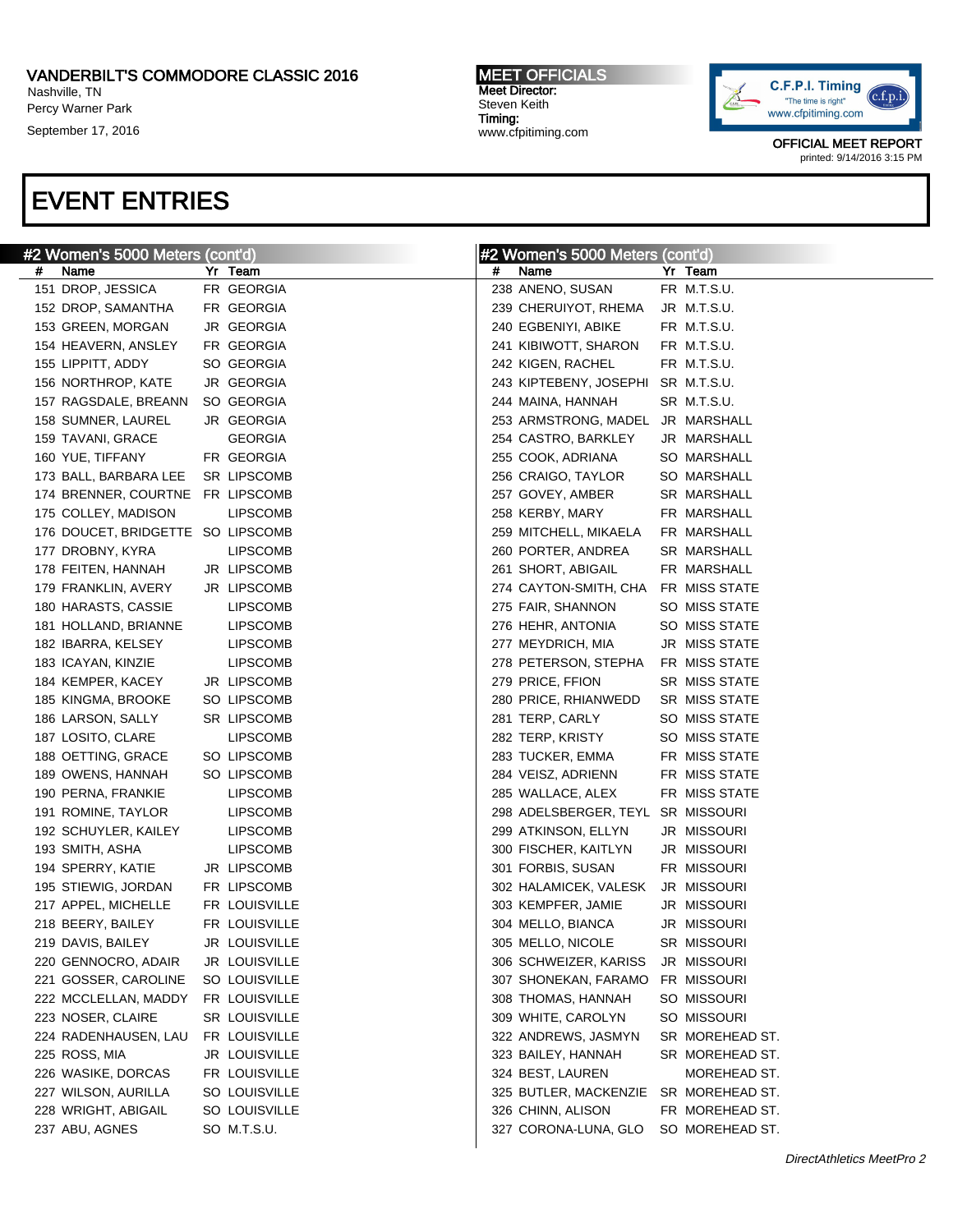## VANDERBILT'S COMMODORE CLASSIC 2016

Nashville, TN Percy Warner Park

September 17, 2016

### MEET OFFICIALS Meet Director: Steven Keith Timing: www.cfpitiming.com



OFFICIAL MEET REPORT printed: 9/14/2016 3:15 PM

|   | #2 Women's 5000 Meters (cont'd)   |                 |   | #2 Women's 5000 Meters (cont'd) |                      |
|---|-----------------------------------|-----------------|---|---------------------------------|----------------------|
| # | Name                              | Yr Team         | # | Name                            | Yr Team              |
|   | 151 DROP, JESSICA                 | FR GEORGIA      |   | 238 ANENO, SUSAN                | FR M.T.S.U.          |
|   | 152 DROP, SAMANTHA                | FR GEORGIA      |   | 239 CHERUIYOT, RHEMA            | JR M.T.S.U.          |
|   | 153 GREEN, MORGAN                 | JR GEORGIA      |   | 240 EGBENIYI, ABIKE             | FR M.T.S.U.          |
|   | 154 HEAVERN, ANSLEY               | FR GEORGIA      |   | 241 KIBIWOTT, SHARON            | FR M.T.S.U.          |
|   | 155 LIPPITT, ADDY                 | SO GEORGIA      |   | 242 KIGEN, RACHEL               | FR M.T.S.U.          |
|   | 156 NORTHROP, KATE                | JR GEORGIA      |   | 243 KIPTEBENY, JOSEPHI          | SR M.T.S.U.          |
|   | 157 RAGSDALE, BREANN              | SO GEORGIA      |   | 244 MAINA, HANNAH               | SR M.T.S.U.          |
|   | 158 SUMNER, LAUREL                | JR GEORGIA      |   | 253 ARMSTRONG, MADEL            | JR MARSHALL          |
|   | 159 TAVANI, GRACE                 | <b>GEORGIA</b>  |   | 254 CASTRO, BARKLEY             | JR MARSHALL          |
|   | 160 YUE, TIFFANY                  | FR GEORGIA      |   | 255 COOK, ADRIANA               | SO MARSHALL          |
|   | 173 BALL, BARBARA LEE             | SR LIPSCOMB     |   | 256 CRAIGO, TAYLOR              | SO MARSHALL          |
|   | 174 BRENNER, COURTNE              | FR LIPSCOMB     |   | 257 GOVEY, AMBER                | SR MARSHALL          |
|   | 175 COLLEY, MADISON               | LIPSCOMB        |   | 258 KERBY, MARY                 | FR MARSHALL          |
|   | 176 DOUCET, BRIDGETTE SO LIPSCOMB |                 |   | 259 MITCHELL, MIKAELA           | FR MARSHALL          |
|   | 177 DROBNY, KYRA                  | <b>LIPSCOMB</b> |   | 260 PORTER, ANDREA              | SR MARSHALL          |
|   | 178 FEITEN, HANNAH                | JR LIPSCOMB     |   | 261 SHORT, ABIGAIL              | FR MARSHALL          |
|   | 179 FRANKLIN, AVERY               | JR LIPSCOMB     |   | 274 CAYTON-SMITH, CHA           | FR MISS STATE        |
|   | 180 HARASTS, CASSIE               | <b>LIPSCOMB</b> |   | 275 FAIR, SHANNON               | SO MISS STATE        |
|   | 181 HOLLAND, BRIANNE              | <b>LIPSCOMB</b> |   | 276 HEHR, ANTONIA               | SO MISS STATE        |
|   | 182 IBARRA, KELSEY                | <b>LIPSCOMB</b> |   | 277 MEYDRICH, MIA               | JR MISS STATE        |
|   | 183 ICAYAN, KINZIE                | <b>LIPSCOMB</b> |   | 278 PETERSON, STEPHA            | FR MISS STATE        |
|   | 184 KEMPER, KACEY                 | JR LIPSCOMB     |   | 279 PRICE, FFION                | <b>SR MISS STATE</b> |
|   | 185 KINGMA, BROOKE                | SO LIPSCOMB     |   | 280 PRICE, RHIANWEDD            | SR MISS STATE        |
|   | 186 LARSON, SALLY                 | SR LIPSCOMB     |   | 281 TERP, CARLY                 | SO MISS STATE        |
|   | 187 LOSITO, CLARE                 | LIPSCOMB        |   | 282 TERP, KRISTY                | SO MISS STATE        |
|   | 188 OETTING, GRACE                | SO LIPSCOMB     |   | 283 TUCKER, EMMA                | FR MISS STATE        |
|   | 189 OWENS, HANNAH                 | SO LIPSCOMB     |   | 284 VEISZ, ADRIENN              | FR MISS STATE        |
|   | 190 PERNA, FRANKIE                | <b>LIPSCOMB</b> |   | 285 WALLACE, ALEX               | FR MISS STATE        |
|   | 191 ROMINE, TAYLOR                | <b>LIPSCOMB</b> |   | 298 ADELSBERGER, TEYL           | SR MISSOURI          |
|   | 192 SCHUYLER, KAILEY              | <b>LIPSCOMB</b> |   | 299 ATKINSON, ELLYN             | JR MISSOURI          |
|   | 193 SMITH, ASHA                   | <b>LIPSCOMB</b> |   | 300 FISCHER, KAITLYN            | JR MISSOURI          |
|   | 194 SPERRY, KATIE                 | JR LIPSCOMB     |   | 301 FORBIS, SUSAN               | FR MISSOURI          |
|   | 195 STIEWIG, JORDAN               | FR LIPSCOMB     |   | 302 HALAMICEK, VALESK           | JR MISSOURI          |
|   | 217 APPEL, MICHELLE               | FR LOUISVILLE   |   | 303 KEMPFER, JAMIE              | JR MISSOURI          |
|   | 218 BEERY, BAILEY                 | FR LOUISVILLE   |   | 304 MELLO, BIANCA               | JR MISSOURI          |
|   | 219 DAVIS, BAILEY                 | JR LOUISVILLE   |   | 305 MELLO, NICOLE               | SR MISSOURI          |
|   | 220 GENNOCRO, ADAIR               | JR LOUISVILLE   |   | 306 SCHWEIZER, KARISS           | JR MISSOURI          |
|   | 221 GOSSER, CAROLINE              | SO LOUISVILLE   |   | 307 SHONEKAN, FARAMO            | FR MISSOURI          |
|   | 222 MCCLELLAN, MADDY              | FR LOUISVILLE   |   | 308 THOMAS, HANNAH              | SO MISSOURI          |
|   | 223 NOSER, CLAIRE                 | SR LOUISVILLE   |   | 309 WHITE, CAROLYN              | SO MISSOURI          |
|   | 224 RADENHAUSEN, LAU              | FR LOUISVILLE   |   | 322 ANDREWS, JASMYN             | SR MOREHEAD ST.      |
|   | 225 ROSS, MIA                     | JR LOUISVILLE   |   | 323 BAILEY, HANNAH              | SR MOREHEAD ST.      |
|   | 226 WASIKE, DORCAS                | FR LOUISVILLE   |   | 324 BEST, LAUREN                | MOREHEAD ST.         |
|   | 227 WILSON, AURILLA               | SO LOUISVILLE   |   | 325 BUTLER, MACKENZIE           | SR MOREHEAD ST.      |
|   | 228 WRIGHT, ABIGAIL               | SO LOUISVILLE   |   | 326 CHINN, ALISON               | FR MOREHEAD ST.      |
|   | 237 ABU, AGNES                    | SO M.T.S.U.     |   | 327 CORONA-LUNA, GLO            | SO MOREHEAD ST.      |
|   |                                   |                 |   |                                 |                      |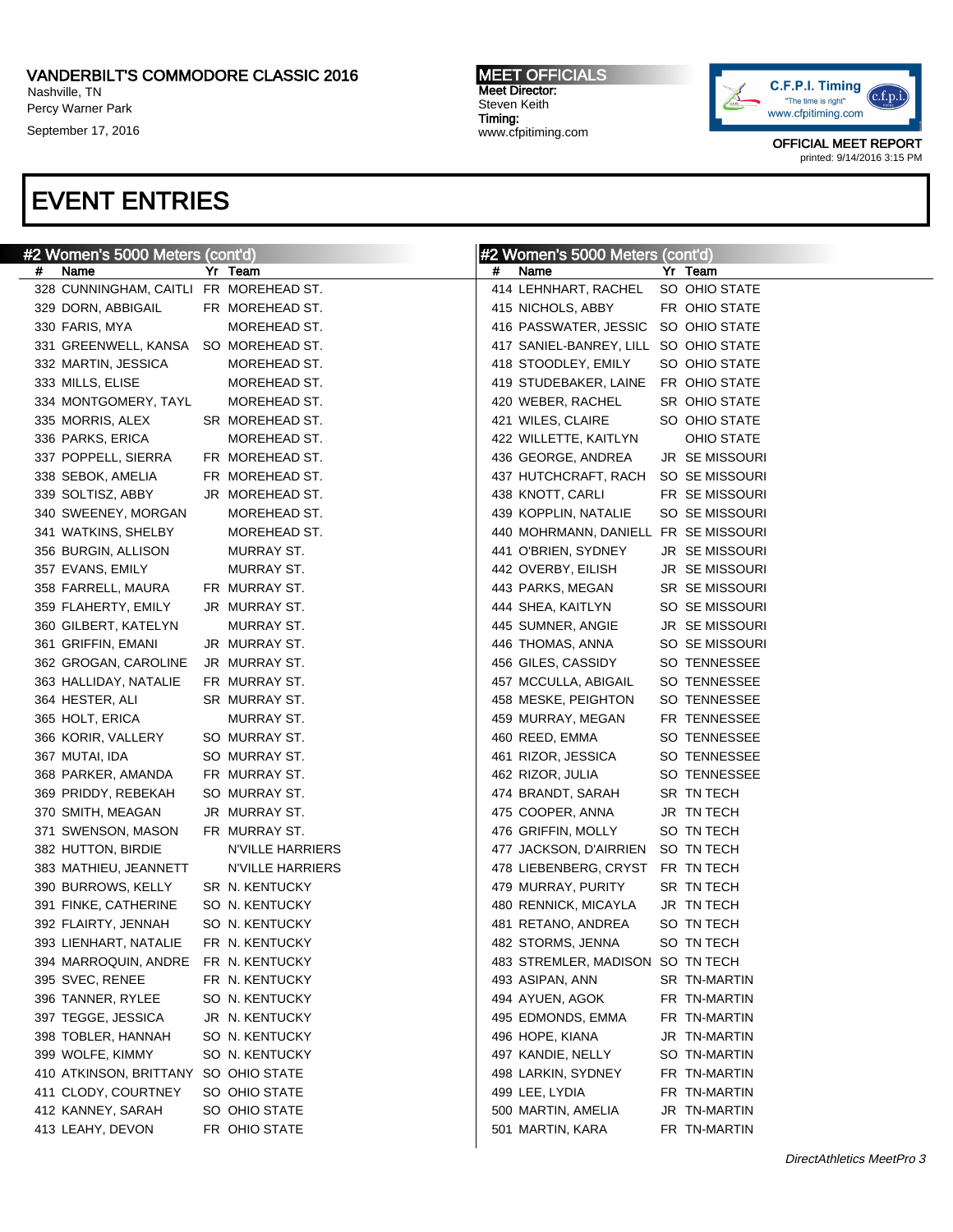### VANDERBILT'S COMMODORE CLASSIC 2016 Nashville, TN

Percy Warner Park

September 17, 2016

#### MEET OFFICIALS Meet Director: Steven Keith Timing: www.cfpitiming.com



OFFICIAL MEET REPORT printed: 9/14/2016 3:15 PM

| #2 Women's 5000 Meters (cont'd)           | #2 Women's 5000 Meters (cont'd)           |
|-------------------------------------------|-------------------------------------------|
| Name                                      | #                                         |
| #                                         | Name                                      |
| Yr Team                                   | Yr Team                                   |
| 328 CUNNINGHAM, CAITLI FR MOREHEAD ST.    | 414 LEHNHART, RACHEL SO OHIO STATE        |
| 329 DORN, ABBIGAIL                        | 415 NICHOLS, ABBY                         |
| FR MOREHEAD ST.                           | FR OHIO STATE                             |
| 330 FARIS, MYA<br>MOREHEAD ST.            | 416 PASSWATER, JESSIC SO OHIO STATE       |
| 331 GREENWELL, KANSA SO MOREHEAD ST.      | 417 SANIEL-BANREY, LILL SO OHIO STATE     |
| 332 MARTIN, JESSICA                       | 418 STOODLEY, EMILY                       |
| MOREHEAD ST.                              | SO OHIO STATE                             |
| 333 MILLS, ELISE<br>MOREHEAD ST.          | 419 STUDEBAKER, LAINE FR OHIO STATE       |
| 334 MONTGOMERY, TAYL                      | 420 WEBER, RACHEL                         |
| MOREHEAD ST.                              | SR OHIO STATE                             |
| 335 MORRIS, ALEX                          | 421 WILES, CLAIRE                         |
| SR MOREHEAD ST.                           | SO OHIO STATE                             |
| 336 PARKS, ERICA                          | 422 WILLETTE, KAITLYN                     |
| MOREHEAD ST.                              | <b>OHIO STATE</b>                         |
| 337 POPPELL, SIERRA                       | 436 GEORGE, ANDREA                        |
| FR MOREHEAD ST.                           | <b>JR SEMISSOURI</b>                      |
| 338 SEBOK, AMELIA<br>FR MOREHEAD ST.      | 437 HUTCHCRAFT, RACH SO SE MISSOURI       |
| 339 SOLTISZ, ABBY                         | 438 KNOTT, CARLI                          |
| JR MOREHEAD ST.                           | FR SE MISSOURI                            |
| 340 SWEENEY, MORGAN                       | 439 KOPPLIN, NATALIE                      |
| MOREHEAD ST.                              | SO SE MISSOURI                            |
| 341 WATKINS, SHELBY<br>MOREHEAD ST.       | 440 MOHRMANN, DANIELL FR SE MISSOURI      |
| 356 BURGIN, ALLISON                       | 441 O'BRIEN, SYDNEY                       |
| MURRAY ST.                                | <b>JR SEMISSOURI</b>                      |
| 357 EVANS, EMILY                          | 442 OVERBY, EILISH                        |
| MURRAY ST.                                | <b>JR SEMISSOURI</b>                      |
| 358 FARRELL, MAURA                        | 443 PARKS, MEGAN                          |
| FR MURRAY ST.                             | <b>SR SE MISSOURI</b>                     |
| 359 FLAHERTY, EMILY                       | 444 SHEA, KAITLYN                         |
| JR MURRAY ST.                             | SO SE MISSOURI                            |
| 360 GILBERT, KATELYN<br>MURRAY ST.        | 445 SUMNER, ANGIE<br><b>JR SEMISSOURI</b> |
| JR MURRAY ST.                             | SO SE MISSOURI                            |
| 361 GRIFFIN, EMANI                        | 446 THOMAS, ANNA                          |
| 362 GROGAN, CAROLINE                      | SO TENNESSEE                              |
| JR MURRAY ST.                             | 456 GILES, CASSIDY                        |
| 363 HALLIDAY, NATALIE                     | SO TENNESSEE                              |
| FR MURRAY ST.                             | 457 MCCULLA, ABIGAIL                      |
| 364 HESTER, ALI                           | SO TENNESSEE                              |
| SR MURRAY ST.                             | 458 MESKE, PEIGHTON                       |
| 365 HOLT, ERICA                           | 459 MURRAY, MEGAN                         |
| MURRAY ST.                                | FR TENNESSEE                              |
| SO MURRAY ST.                             | SO TENNESSEE                              |
| 366 KORIR, VALLERY                        | 460 REED, EMMA                            |
| 367 MUTAI, IDA                            | 461 RIZOR, JESSICA                        |
| SO MURRAY ST.                             | SO TENNESSEE                              |
| FR MURRAY ST.                             | 462 RIZOR, JULIA                          |
| 368 PARKER, AMANDA                        | SO TENNESSEE                              |
| SO MURRAY ST.                             | SR TN TECH                                |
| 369 PRIDDY, REBEKAH                       | 474 BRANDT, SARAH                         |
| 370 SMITH, MEAGAN                         | 475 COOPER, ANNA                          |
| JR MURRAY ST.                             | JR TN TECH                                |
| FR MURRAY ST.                             | 476 GRIFFIN, MOLLY                        |
| 371 SWENSON, MASON                        | SO TN TECH                                |
| 382 HUTTON, BIRDIE<br>N'VILLE HARRIERS    | 477 JACKSON, D'AIRRIEN SO TN TECH         |
| 383 MATHIEU, JEANNETT<br>N'VILLE HARRIERS | 478 LIEBENBERG, CRYST FR TN TECH          |
| 390 BURROWS, KELLY                        | 479 MURRAY, PURITY                        |
| SR N. KENTUCKY                            | SR TN TECH                                |
| SO N. KENTUCKY                            | 480 RENNICK, MICAYLA                      |
| 391 FINKE, CATHERINE                      | JR TN TECH                                |
| SO N. KENTUCKY                            | 481 RETANO, ANDREA                        |
| 392 FLAIRTY, JENNAH                       | SO TN TECH                                |
| FR N. KENTUCKY                            | SO TN TECH                                |
| 393 LIENHART. NATALIE                     | 482 STORMS, JENNA                         |
| 394 MARROQUIN, ANDRE FR N. KENTUCKY       | 483 STREMLER, MADISON SO TN TECH          |
| 395 SVEC, RENEE                           | 493 ASIPAN, ANN                           |
| FR N. KENTUCKY                            | SR TN-MARTIN                              |
| 396 TANNER, RYLEE                         | 494 AYUEN, AGOK                           |
| SO N. KENTUCKY                            | FR TN-MARTIN                              |
| 397 TEGGE, JESSICA                        | 495 EDMONDS, EMMA                         |
| JR N. KENTUCKY                            | FR TN-MARTIN                              |
| 398 TOBLER, HANNAH                        | 496 HOPE, KIANA                           |
| SO N. KENTUCKY                            | JR TN-MARTIN                              |
| 399 WOLFE, KIMMY                          | 497 KANDIE, NELLY                         |
| SO N. KENTUCKY                            | SO TN-MARTIN                              |
| 410 ATKINSON, BRITTANY SO OHIO STATE      | 498 LARKIN, SYDNEY<br>FR TN-MARTIN        |
| 411 CLODY, COURTNEY                       | 499 LEE, LYDIA                            |
| SO OHIO STATE                             | FR TN-MARTIN                              |
| 412 KANNEY, SARAH                         | 500 MARTIN, AMELIA                        |
| SO OHIO STATE                             | JR TN-MARTIN                              |
| 413 LEAHY, DEVON                          | 501 MARTIN, KARA                          |
| FR OHIO STATE                             | FR TN-MARTIN                              |
|                                           |                                           |